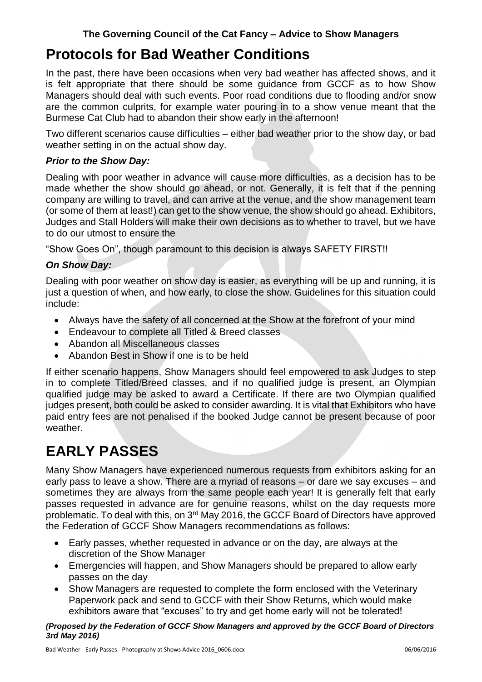## **Protocols for Bad Weather Conditions**

In the past, there have been occasions when very bad weather has affected shows, and it is felt appropriate that there should be some guidance from GCCF as to how Show Managers should deal with such events. Poor road conditions due to flooding and/or snow are the common culprits, for example water pouring in to a show venue meant that the Burmese Cat Club had to abandon their show early in the afternoon!

Two different scenarios cause difficulties – either bad weather prior to the show day, or bad weather setting in on the actual show day.

#### *Prior to the Show Day:*

Dealing with poor weather in advance will cause more difficulties, as a decision has to be made whether the show should go ahead, or not. Generally, it is felt that if the penning company are willing to travel, and can arrive at the venue, and the show management team (or some of them at least!) can get to the show venue, the show should go ahead. Exhibitors, Judges and Stall Holders will make their own decisions as to whether to travel, but we have to do our utmost to ensure the

"Show Goes On", though paramount to this decision is always SAFETY FIRST!!

### *On Show Day:*

Dealing with poor weather on show day is easier, as everything will be up and running, it is just a question of when, and how early, to close the show. Guidelines for this situation could include:

- Always have the safety of all concerned at the Show at the forefront of your mind
- Endeavour to complete all Titled & Breed classes
- Abandon all Miscellaneous classes
- Abandon Best in Show if one is to be held

If either scenario happens, Show Managers should feel empowered to ask Judges to step in to complete Titled/Breed classes, and if no qualified judge is present, an Olympian qualified judge may be asked to award a Certificate. If there are two Olympian qualified judges present, both could be asked to consider awarding. It is vital that Exhibitors who have paid entry fees are not penalised if the booked Judge cannot be present because of poor weather.

# **EARLY PASSES**

Many Show Managers have experienced numerous requests from exhibitors asking for an early pass to leave a show. There are a myriad of reasons – or dare we say excuses – and sometimes they are always from the same people each year! It is generally felt that early passes requested in advance are for genuine reasons, whilst on the day requests more problematic. To deal with this, on 3<sup>rd</sup> May 2016, the GCCF Board of Directors have approved the Federation of GCCF Show Managers recommendations as follows:

- Early passes, whether requested in advance or on the day, are always at the discretion of the Show Manager
- Emergencies will happen, and Show Managers should be prepared to allow early passes on the day
- Show Managers are requested to complete the form enclosed with the Veterinary Paperwork pack and send to GCCF with their Show Returns, which would make exhibitors aware that "excuses" to try and get home early will not be tolerated!

*(Proposed by the Federation of GCCF Show Managers and approved by the GCCF Board of Directors 3rd May 2016)*